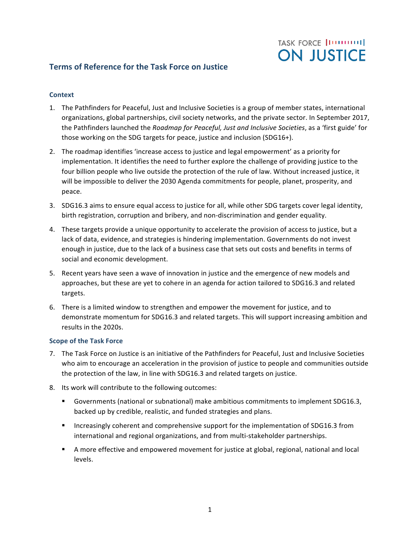## **TASK FORCE |ITTITITITI| ON JUSTICE**

### **Terms of Reference for the Task Force on Justice**

#### **Context**

- 1. The Pathfinders for Peaceful, Just and Inclusive Societies is a group of member states, international organizations, global partnerships, civil society networks, and the private sector. In September 2017, the Pathfinders launched the *Roadmap for Peaceful, Just and Inclusive Societies*, as a 'first guide' for those working on the SDG targets for peace, justice and inclusion (SDG16+).
- 2. The roadmap identifies 'increase access to justice and legal empowerment' as a priority for implementation. It identifies the need to further explore the challenge of providing justice to the four billion people who live outside the protection of the rule of law. Without increased justice, it will be impossible to deliver the 2030 Agenda commitments for people, planet, prosperity, and peace.
- 3. SDG16.3 aims to ensure equal access to justice for all, while other SDG targets cover legal identity, birth registration, corruption and bribery, and non-discrimination and gender equality.
- 4. These targets provide a unique opportunity to accelerate the provision of access to justice, but a lack of data, evidence, and strategies is hindering implementation. Governments do not invest enough in justice, due to the lack of a business case that sets out costs and benefits in terms of social and economic development.
- 5. Recent years have seen a wave of innovation in justice and the emergence of new models and approaches, but these are yet to cohere in an agenda for action tailored to SDG16.3 and related targets.
- 6. There is a limited window to strengthen and empower the movement for justice, and to demonstrate momentum for SDG16.3 and related targets. This will support increasing ambition and results in the 2020s.

#### **Scope of the Task Force**

- 7. The Task Force on Justice is an initiative of the Pathfinders for Peaceful, Just and Inclusive Societies who aim to encourage an acceleration in the provision of justice to people and communities outside the protection of the law, in line with SDG16.3 and related targets on justice.
- 8. Its work will contribute to the following outcomes:
	- Governments (national or subnational) make ambitious commitments to implement SDG16.3, backed up by credible, realistic, and funded strategies and plans.
	- **■** Increasingly coherent and comprehensive support for the implementation of SDG16.3 from international and regional organizations, and from multi-stakeholder partnerships.
	- **•** A more effective and empowered movement for justice at global, regional, national and local levels.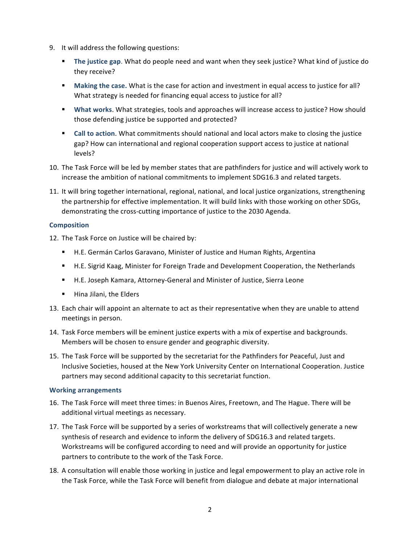- 9. It will address the following questions:
	- **The justice gap.** What do people need and want when they seek justice? What kind of justice do they receive?
	- Making the case. What is the case for action and investment in equal access to justice for all? What strategy is needed for financing equal access to justice for all?
	- What works. What strategies, tools and approaches will increase access to justice? How should those defending justice be supported and protected?
	- **Call to action**. What commitments should national and local actors make to closing the justice gap? How can international and regional cooperation support access to justice at national levels?
- 10. The Task Force will be led by member states that are pathfinders for justice and will actively work to increase the ambition of national commitments to implement SDG16.3 and related targets.
- 11. It will bring together international, regional, national, and local justice organizations, strengthening the partnership for effective implementation. It will build links with those working on other SDGs, demonstrating the cross-cutting importance of justice to the 2030 Agenda.

#### **Composition**

- 12. The Task Force on Justice will be chaired by:
	- H.E. Germán Carlos Garavano, Minister of Justice and Human Rights, Argentina
	- H.E. Sigrid Kaag, Minister for Foreign Trade and Development Cooperation, the Netherlands
	- H.E. Joseph Kamara, Attorney-General and Minister of Justice, Sierra Leone
	- **E** Hina Jilani, the Elders
- 13. Each chair will appoint an alternate to act as their representative when they are unable to attend meetings in person.
- 14. Task Force members will be eminent justice experts with a mix of expertise and backgrounds. Members will be chosen to ensure gender and geographic diversity.
- 15. The Task Force will be supported by the secretariat for the Pathfinders for Peaceful, Just and Inclusive Societies, housed at the New York University Center on International Cooperation. Justice partners may second additional capacity to this secretariat function.

#### **Working arrangements**

- 16. The Task Force will meet three times: in Buenos Aires, Freetown, and The Hague. There will be additional virtual meetings as necessary.
- 17. The Task Force will be supported by a series of workstreams that will collectively generate a new synthesis of research and evidence to inform the delivery of SDG16.3 and related targets. Workstreams will be configured according to need and will provide an opportunity for justice partners to contribute to the work of the Task Force.
- 18. A consultation will enable those working in justice and legal empowerment to play an active role in the Task Force, while the Task Force will benefit from dialogue and debate at major international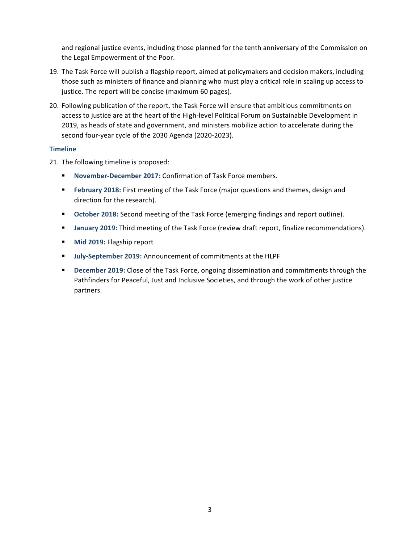and regional justice events, including those planned for the tenth anniversary of the Commission on the Legal Empowerment of the Poor.

- 19. The Task Force will publish a flagship report, aimed at policymakers and decision makers, including those such as ministers of finance and planning who must play a critical role in scaling up access to justice. The report will be concise (maximum 60 pages).
- 20. Following publication of the report, the Task Force will ensure that ambitious commitments on access to justice are at the heart of the High-level Political Forum on Sustainable Development in 2019, as heads of state and government, and ministers mobilize action to accelerate during the second four-year cycle of the 2030 Agenda (2020-2023).

#### **Timeline**

21. The following timeline is proposed:

- **November-December 2017: Confirmation of Task Force members.**
- **E** February 2018: First meeting of the Task Force (major questions and themes, design and direction for the research).
- **October 2018:** Second meeting of the Task Force (emerging findings and report outline).
- **January 2019:** Third meeting of the Task Force (review draft report, finalize recommendations).
- **■** Mid 2019: Flagship report
- **■** July-September 2019: Announcement of commitments at the HLPF
- **December 2019:** Close of the Task Force, ongoing dissemination and commitments through the Pathfinders for Peaceful, Just and Inclusive Societies, and through the work of other justice partners.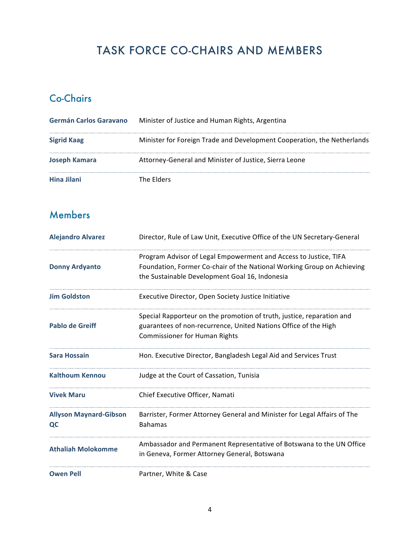## TASK FORCE CO-CHAIRS AND MEMBERS

## Co-Chairs

| Germán Carlos Garavano | Minister of Justice and Human Rights, Argentina                         |
|------------------------|-------------------------------------------------------------------------|
| <b>Sigrid Kaag</b>     | Minister for Foreign Trade and Development Cooperation, the Netherlands |
| <b>Joseph Kamara</b>   | Attorney-General and Minister of Justice, Sierra Leone                  |
| Hina Jilani            | The Flders                                                              |

## Members

| <b>Alejandro Alvarez</b>            | Director, Rule of Law Unit, Executive Office of the UN Secretary-General                                                                                                                     |
|-------------------------------------|----------------------------------------------------------------------------------------------------------------------------------------------------------------------------------------------|
| <b>Donny Ardyanto</b>               | Program Advisor of Legal Empowerment and Access to Justice, TIFA<br>Foundation, Former Co-chair of the National Working Group on Achieving<br>the Sustainable Development Goal 16, Indonesia |
| <b>Jim Goldston</b>                 | Executive Director, Open Society Justice Initiative                                                                                                                                          |
| <b>Pablo de Greiff</b>              | Special Rapporteur on the promotion of truth, justice, reparation and<br>guarantees of non-recurrence, United Nations Office of the High<br><b>Commissioner for Human Rights</b>             |
| <b>Sara Hossain</b>                 | Hon. Executive Director, Bangladesh Legal Aid and Services Trust                                                                                                                             |
| <b>Kalthoum Kennou</b>              | Judge at the Court of Cassation, Tunisia                                                                                                                                                     |
| <b>Vivek Maru</b>                   | Chief Executive Officer, Namati                                                                                                                                                              |
| <b>Allyson Maynard-Gibson</b><br>QC | Barrister, Former Attorney General and Minister for Legal Affairs of The<br><b>Bahamas</b>                                                                                                   |
| <b>Athaliah Molokomme</b>           | Ambassador and Permanent Representative of Botswana to the UN Office<br>in Geneva, Former Attorney General, Botswana                                                                         |
| <b>Owen Pell</b>                    | Partner, White & Case                                                                                                                                                                        |